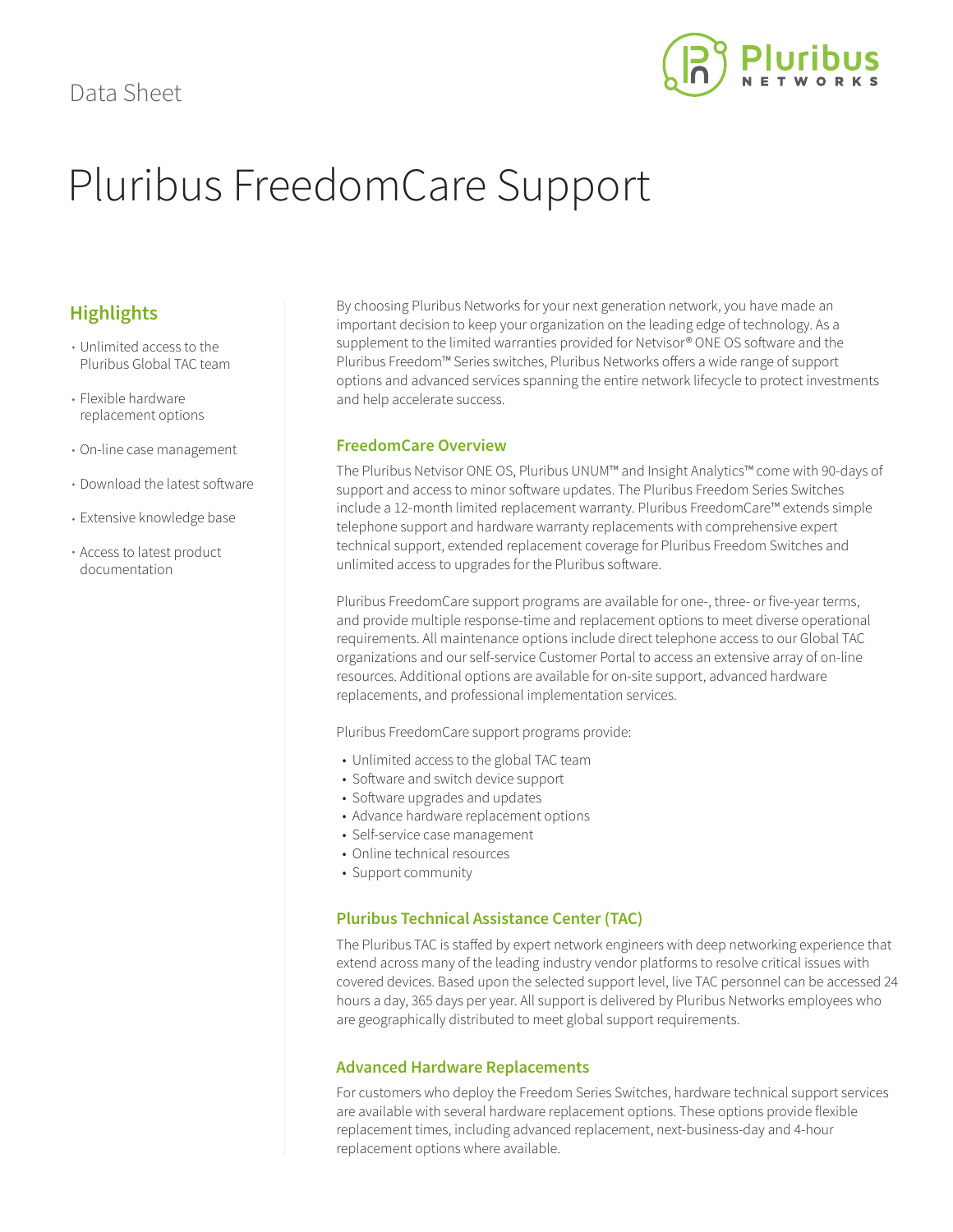

# Pluribus FreedomCare Support

## **Highlights**

- Unlimited access to the Pluribus Global TAC team
- Flexible hardware replacement options
- On-line case management
- Download the latest software
- Extensive knowledge base
- Access to latest product documentation

By choosing Pluribus Networks for your next generation network, you have made an important decision to keep your organization on the leading edge of technology. As a supplement to the limited warranties provided for Netvisor® ONE OS software and the Pluribus Freedom™ Series switches, Pluribus Networks offers a wide range of support options and advanced services spanning the entire network lifecycle to protect investments and help accelerate success.

### **FreedomCare Overview**

The Pluribus Netvisor ONE OS, Pluribus UNUM™ and Insight Analytics™ come with 90-days of support and access to minor software updates. The Pluribus Freedom Series Switches include a 12-month limited replacement warranty. Pluribus FreedomCare™ extends simple telephone support and hardware warranty replacements with comprehensive expert technical support, extended replacement coverage for Pluribus Freedom Switches and unlimited access to upgrades for the Pluribus software.

Pluribus FreedomCare support programs are available for one-, three- or five-year terms, and provide multiple response-time and replacement options to meet diverse operational requirements. All maintenance options include direct telephone access to our Global TAC organizations and our self-service Customer Portal to access an extensive array of on-line resources. Additional options are available for on-site support, advanced hardware replacements, and professional implementation services.

Pluribus FreedomCare support programs provide:

- Unlimited access to the global TAC team
- Software and switch device support
- Software upgrades and updates
- Advance hardware replacement options
- Self-service case management
- Online technical resources
- Support community

#### **Pluribus Technical Assistance Center (TAC)**

The Pluribus TAC is staffed by expert network engineers with deep networking experience that extend across many of the leading industry vendor platforms to resolve critical issues with covered devices. Based upon the selected support level, live TAC personnel can be accessed 24 hours a day, 365 days per year. All support is delivered by Pluribus Networks employees who are geographically distributed to meet global support requirements.

#### **Advanced Hardware Replacements**

For customers who deploy the Freedom Series Switches, hardware technical support services are available with several hardware replacement options. These options provide flexible replacement times, including advanced replacement, next-business-day and 4-hour replacement options where available.